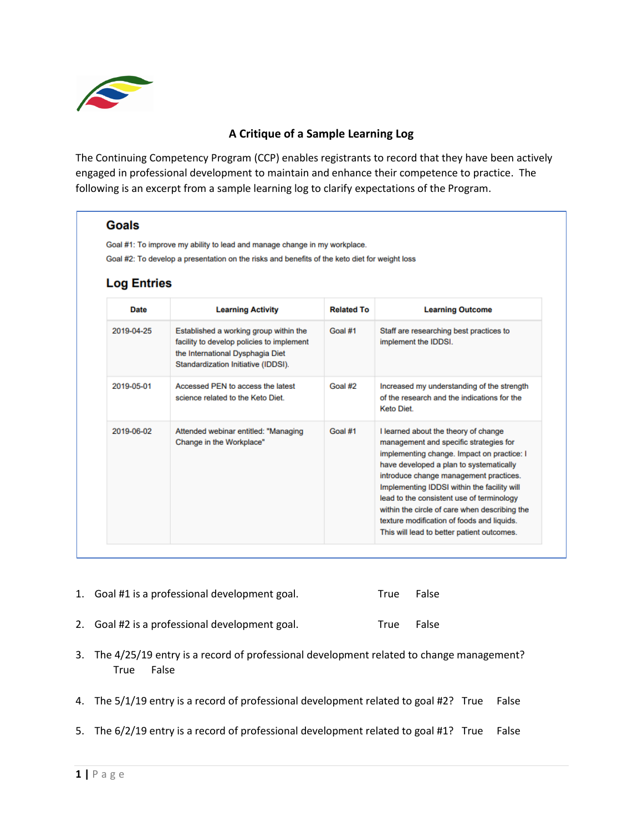

## **A Critique of a Sample Learning Log**

The Continuing Competency Program (CCP) enables registrants to record that they have been actively engaged in professional development to maintain and enhance their competence to practice. The following is an excerpt from a sample learning log to clarify expectations of the Program.

|--|--|--|--|--|

Goal #1: To improve my ability to lead and manage change in my workplace.

Goal #2: To develop a presentation on the risks and benefits of the keto diet for weight loss

## **Log Entries**

| Date       | <b>Learning Activity</b>                                                                                                                                       | <b>Related To</b> | <b>Learning Outcome</b>                                                                                                                                                                                                                                                                                                                                                                                                                                    |
|------------|----------------------------------------------------------------------------------------------------------------------------------------------------------------|-------------------|------------------------------------------------------------------------------------------------------------------------------------------------------------------------------------------------------------------------------------------------------------------------------------------------------------------------------------------------------------------------------------------------------------------------------------------------------------|
| 2019-04-25 | Established a working group within the<br>facility to develop policies to implement<br>the International Dysphagia Diet<br>Standardization Initiative (IDDSI). | Goal #1           | Staff are researching best practices to<br>implement the IDDSI.                                                                                                                                                                                                                                                                                                                                                                                            |
| 2019-05-01 | Accessed PFN to access the latest<br>science related to the Keto Diet.                                                                                         | Goal #2           | Increased my understanding of the strength<br>of the research and the indications for the<br>Keto Diet                                                                                                                                                                                                                                                                                                                                                     |
| 2019-06-02 | Attended webinar entitled: "Managing<br>Change in the Workplace"                                                                                               | Goal #1           | I learned about the theory of change<br>management and specific strategies for<br>implementing change. Impact on practice: I<br>have developed a plan to systematically<br>introduce change management practices.<br>Implementing IDDSI within the facility will<br>lead to the consistent use of terminology<br>within the circle of care when describing the<br>texture modification of foods and liquids.<br>This will lead to better patient outcomes. |

| 1. Goal #1 is a professional development goal. | True | False |
|------------------------------------------------|------|-------|
| 2. Goal #2 is a professional development goal. | True | False |

- 3. The 4/25/19 entry is a record of professional development related to change management? True False
- 4. The 5/1/19 entry is a record of professional development related to goal #2? True False
- 5. The 6/2/19 entry is a record of professional development related to goal #1? True False